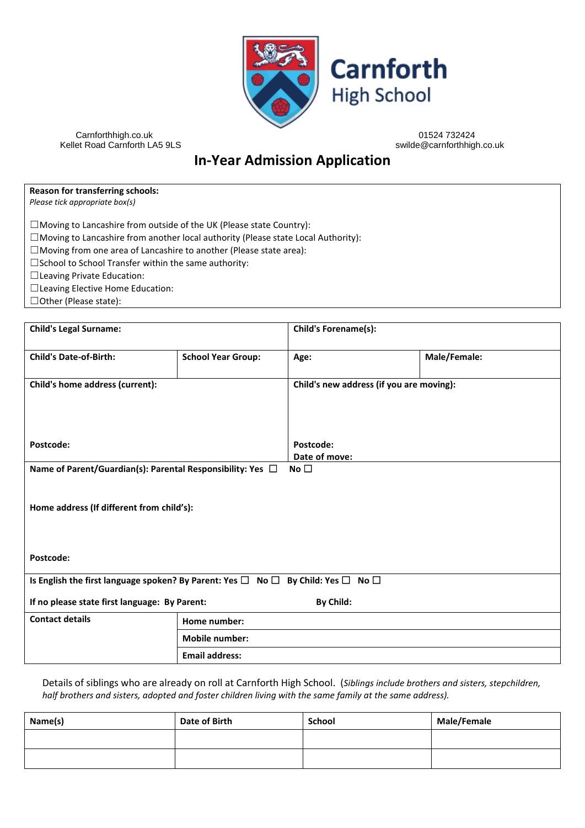

Kellet Road Carnforth LA5 9LS

Carnforthhigh.co.uk 01524 732424

# **In-Year Admission Application**

**Reason for transferring schools:** *Please tick appropriate box(s)*

☐Moving to Lancashire from outside of the UK (Please state Country):

☐Moving to Lancashire from another local authority (Please state Local Authority):

☐Moving from one area of Lancashire to another (Please state area):

☐School to School Transfer within the same authority:

☐Leaving Private Education:

☐Leaving Elective Home Education:

☐Other (Please state):

| <b>Child's Legal Surname:</b>                                                                        |                           | Child's Forename(s):                     |              |
|------------------------------------------------------------------------------------------------------|---------------------------|------------------------------------------|--------------|
| <b>Child's Date-of-Birth:</b>                                                                        | <b>School Year Group:</b> | Age:                                     | Male/Female: |
| Child's home address (current):                                                                      |                           | Child's new address (if you are moving): |              |
| Postcode:                                                                                            |                           | Postcode:                                |              |
| Name of Parent/Guardian(s): Parental Responsibility: Yes □                                           |                           | Date of move:<br>No $\square$            |              |
| Home address (If different from child's):                                                            |                           |                                          |              |
| Postcode:                                                                                            |                           |                                          |              |
| Is English the first language spoken? By Parent: Yes $\Box$ No $\Box$ By Child: Yes $\Box$ No $\Box$ |                           |                                          |              |
| If no please state first language: By Parent:                                                        |                           | By Child:                                |              |
| <b>Contact details</b>                                                                               | Home number:              |                                          |              |
|                                                                                                      | <b>Mobile number:</b>     |                                          |              |
|                                                                                                      | <b>Email address:</b>     |                                          |              |

Details of siblings who are already on roll at Carnforth High School. (*Siblings include brothers and sisters, stepchildren, half brothers and sisters, adopted and foster children living with the same family at the same address).*

| Name(s) | Date of Birth | School | <b>Male/Female</b> |
|---------|---------------|--------|--------------------|
|         |               |        |                    |
|         |               |        |                    |